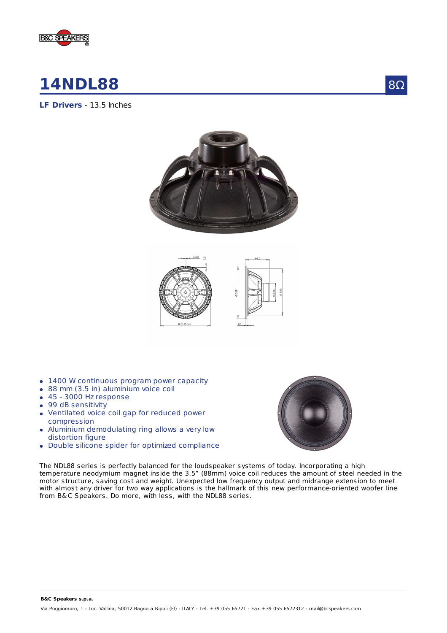

# **14NDL88**

8Ω

**LF Drivers** - 13.5 Inches





- 1400 W continuous program power capacity
- 88 mm (3.5 in) aluminium voice coil
- 45 3000 Hz response  $\bullet$
- 99 dB sensitivity
- Ventilated voice coil gap for reduced power  $\bullet$ compression
- Aluminium demodulating ring allows a very low  $\bullet$ distortion figure
- Double silicone spider for optimized compliance



The NDL88 series is perfectly balanced for the loudspeaker systems of today. Incorporating a high temperature neodymium magnet inside the 3.5" (88mm) voice coil reduces the amount of steel needed in the motor structure, saving cost and weight. Unexpected low frequency output and midrange extension to meet with almost any driver for two way applications is the hallmark of this new performance-oriented woofer line from B&C Speakers. Do more, with less, with the NDL88 series.

**B&C Speakers s.p.a.**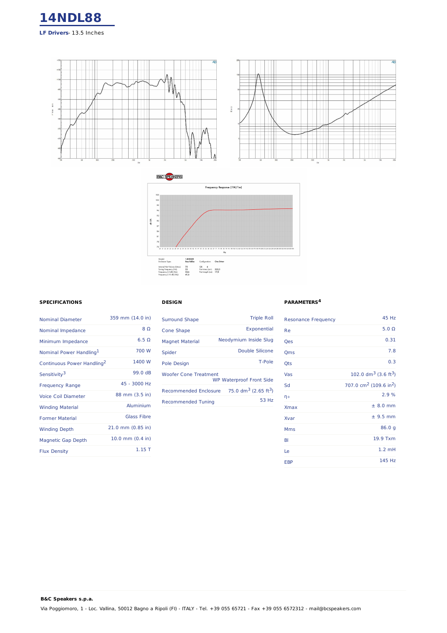





## **SPECIFICATIONS**

**B&C Speakers s.p.a.**

| <b>Nominal Diameter</b>                | 359 mm (14.0 in)      |
|----------------------------------------|-----------------------|
| Nominal Impedance                      | 8 O                   |
| Minimum Impedance                      | $6.5 \Omega$          |
| Nominal Power Handling <sup>1</sup>    | 700 W                 |
| Continuous Power Handling <sup>2</sup> | 1400 W                |
| Sensitivity <sup>3</sup>               | 99.0 dB               |
| <b>Frequency Range</b>                 | 45 - 3000 Hz          |
| <b>Voice Coil Diameter</b>             | 88 mm (3.5 in)        |
| <b>Winding Material</b>                | Aluminium             |
| <b>Former Material</b>                 | <b>Glass Fibre</b>    |
| <b>Winding Depth</b>                   | $21.0$ mm $(0.85$ in) |
| <b>Magnetic Gap Depth</b>              | 10.0 mm (0.4 in)      |
| <b>Flux Density</b>                    | $1.15$ T              |

### **DESIGN**

| <b>Surround Shape</b>                                           | <b>Triple Roll</b>                           |
|-----------------------------------------------------------------|----------------------------------------------|
| Cone Shape                                                      | Exponential                                  |
| <b>Magnet Material</b>                                          | Neodymium Inside Slug                        |
| Spider                                                          | Double Silicone                              |
| Pole Design                                                     | T-Pole                                       |
| <b>Woofer Cone Treatment</b><br><b>WP Waterproof Front Side</b> |                                              |
| <b>Recommended Enclosure</b>                                    | 75.0 dm <sup>3</sup> (2.65 ft <sup>3</sup> ) |
| <b>Recommended Tuning</b>                                       | 53 Hz                                        |

#### **PARAMETERS 4**

| <b>Resonance Frequency</b> | 45 Hz                                          |
|----------------------------|------------------------------------------------|
| Re                         | $5.0 \Omega$                                   |
| Qes                        | 0.31                                           |
| Qms                        | 7.8                                            |
| Qts                        | 0.3                                            |
| Vas                        | 102.0 $dm^3$ (3.6 ft <sup>3</sup> )            |
| Sd                         | 707.0 cm <sup>2</sup> (109.6 in <sup>2</sup> ) |
| ηo                         | 2.9%                                           |
| <b>Xmax</b>                | $± 8.0$ mm                                     |
| Xvar                       | $±$ 9.5 mm                                     |
| Mms                        | 86.0 g                                         |
| BI                         | 19.9 Txm                                       |
| Le                         | $1.2$ mH                                       |
| <b>EBP</b>                 | 145 Hz                                         |